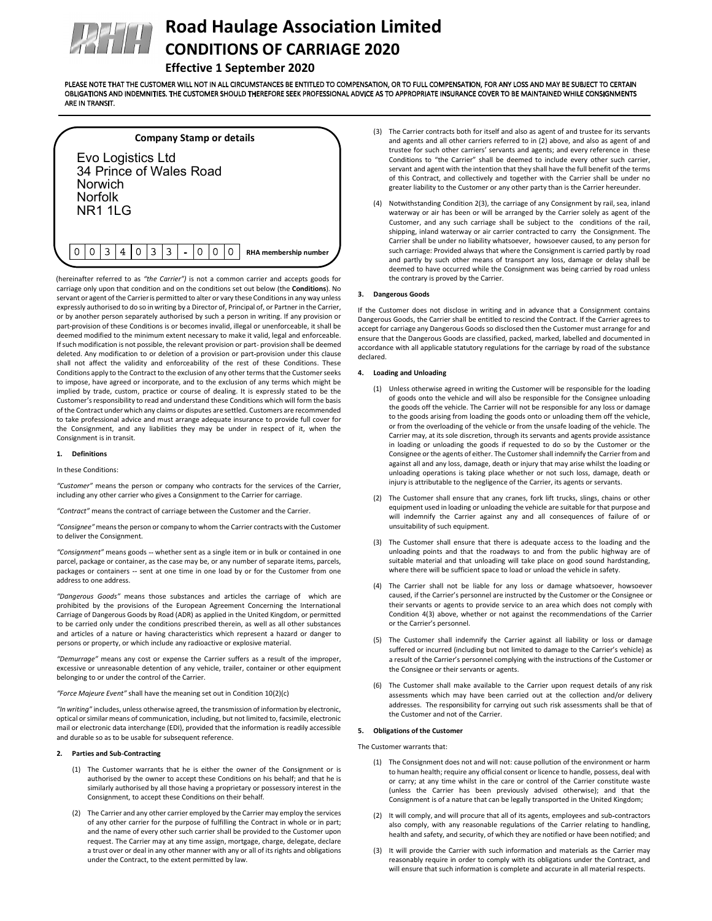

# Road Haulage Association Limited CONDITIONS OF CARRIAGE 2020

# Effective 1 September 2020

PLEASE NOTE THAT THE CUSTOMER WILL NOT IN ALL CIRCUMSTANCES BE ENTITLED TO COMPENSATION, OR TO FULL COMPENSATION, FOR ANY LOSS AND MAY BE SUBJECT TO CERTAIN OBLIGATIONS AND INDEMNITIES. THE CUSTOMER SHOULD THEREFORE SEEK PROFESSIONAL ADVICE AS TO APPROPRIATE INSURANCE COVER TO BE MAINTAINED WHILE CONSIGNMENTS ARE IN TRANSIT.

# Company Stamp or details

| Evo Logistics Ltd<br>34 Prince of Wales Road<br>Norwich<br>Norfolk<br>NR1 1 G |  |  |  |   |  |   |   |  |   |  |   |                       |
|-------------------------------------------------------------------------------|--|--|--|---|--|---|---|--|---|--|---|-----------------------|
|                                                                               |  |  |  | 4 |  | ς | ٦ |  | ∩ |  | Ω | RHA membership number |

(hereinafter referred to as "the Carrier") is not a common carrier and accepts goods for carriage only upon that condition and on the conditions set out below (the Conditions). No servant or agent of the Carrier is permitted to alter or vary these Conditions in any way unless expressly authorised to do so in writing by a Director of, Principal of, or Partner in the Carrier, or by another person separately authorised by such a person in writing. If any provision or part provision of these Conditions is or becomes invalid, illegal or unenforceable, it shall be deemed modified to the minimum extent necessary to make it valid, legal and enforceable. If such modification is not possible, the relevant provision or part-provision shall be deemed deleted. Any modification to or deletion of a provision or part-provision under this clause shall not affect the validity and enforceability of the rest of these Conditions. These Conditions apply to the Contract to the exclusion of any other terms that the Customer seeks to impose, have agreed or incorporate, and to the exclusion of any terms which might be implied by trade, custom, practice or course of dealing. It is expressly stated to be the Customer's responsibility to read and understand these Conditions which will form the basis of the Contract under which any claims or disputes are settled. Customers are recommended to take professional advice and must arrange adequate insurance to provide full cover for the Consignment, and any liabilities they may be under in respect of it, when the Consignment is in transit.

# 1. Definitions

In these Conditions:

"Customer" means the person or company who contracts for the services of the Carrier, including any other carrier who gives a Consignment to the Carrier for carriage.

"Contract" means the contract of carriage between the Customer and the Carrier.

"Consignee" means the person or company to whom the Carrier contracts with the Customer to deliver the Consignment.

"Consignment" means goods -- whether sent as a single item or in bulk or contained in one parcel, package or container, as the case may be, or any number of separate items, parcels, packages or containers -- sent at one time in one load by or for the Customer from one address to one address.

"Dangerous Goods" means those substances and articles the carriage of which are prohibited by the provisions of the European Agreement Concerning the International Carriage of Dangerous Goods by Road (ADR) as applied in the United Kingdom, or permitted to be carried only under the conditions prescribed therein, as well as all other substances and articles of a nature or having characteristics which represent a hazard or danger to persons or property, or which include any radioactive or explosive material.

"Demurrage" means any cost or expense the Carrier suffers as a result of the improper, excessive or unreasonable detention of any vehicle, trailer, container or other equipment belonging to or under the control of the Carrier.

"Force Majeure Event" shall have the meaning set out in Condition 10(2)(c)

"In writing" includes, unless otherwise agreed, the transmission of information by electronic, optical or similar means of communication, including, but not limited to, facsimile, electronic mail or electronic data interchange (EDI), provided that the information is readily accessible and durable so as to be usable for subsequent reference.

#### 2. Parties and Sub Contracting

- (1) The Customer warrants that he is either the owner of the Consignment or is authorised by the owner to accept these Conditions on his behalf; and that he is similarly authorised by all those having a proprietary or possessory interest in the Consignment, to accept these Conditions on their behalf.
- (2) The Carrier and any other carrier employed by the Carrier may employ the services of any other carrier for the purpose of fulfilling the Contract in whole or in part; and the name of every other such carrier shall be provided to the Customer upon request. The Carrier may at any time assign, mortgage, charge, delegate, declare a trust over or deal in any other manner with any or all of its rights and obligations under the Contract, to the extent permitted by law.
- (3) The Carrier contracts both for itself and also as agent of and trustee for its servants and agents and all other carriers referred to in (2) above, and also as agent of and trustee for such other carriers' servants and agents; and every reference in these Conditions to "the Carrier" shall be deemed to include every other such carrier, servant and agent with the intention that they shall have the full benefit of the terms of this Contract, and collectively and together with the Carrier shall be under no greater liability to the Customer or any other party than is the Carrier hereunder.
- (4) Notwithstanding Condition 2(3), the carriage of any Consignment by rail, sea, inland waterway or air has been or will be arranged by the Carrier solely as agent of the Customer, and any such carriage shall be subject to the conditions of the rail, shipping, inland waterway or air carrier contracted to carry the Consignment. The Carrier shall be under no liability whatsoever, howsoever caused, to any person for such carriage: Provided always that where the Consignment is carried partly by road and partly by such other means of transport any loss, damage or delay shall be deemed to have occurred while the Consignment was being carried by road unless the contrary is proved by the Carrier.

#### 3. Dangerous Goods

If the Customer does not disclose in writing and in advance that a Consignment contains Dangerous Goods, the Carrier shall be entitled to rescind the Contract. If the Carrier agrees to accept for carriage any Dangerous Goods so disclosed then the Customer must arrange for and ensure that the Dangerous Goods are classified, packed, marked, labelled and documented in accordance with all applicable statutory regulations for the carriage by road of the substance declared.

#### 4. Loading and Unloading

- (1) Unless otherwise agreed in writing the Customer will be responsible for the loading of goods onto the vehicle and will also be responsible for the Consignee unloading the goods off the vehicle. The Carrier will not be responsible for any loss or damage to the goods arising from loading the goods onto or unloading them off the vehicle, or from the overloading of the vehicle or from the unsafe loading of the vehicle. The Carrier may, at its sole discretion, through its servants and agents provide assistance in loading or unloading the goods if requested to do so by the Customer or the Consignee or the agents of either. The Customer shall indemnify the Carrier from and against all and any loss, damage, death or injury that may arise whilst the loading or unloading operations is taking place whether or not such loss, damage, death or injury is attributable to the negligence of the Carrier, its agents or servants.
- The Customer shall ensure that any cranes, fork lift trucks, slings, chains or other equipment used in loading or unloading the vehicle are suitable for that purpose and will indemnify the Carrier against any and all consequences of failure of or unsuitability of such equipment.
- (3) The Customer shall ensure that there is adequate access to the loading and the unloading points and that the roadways to and from the public highway are of suitable material and that unloading will take place on good sound hardstanding, where there will be sufficient space to load or unload the vehicle in safety.
- (4) The Carrier shall not be liable for any loss or damage whatsoever, howsoever caused, if the Carrier's personnel are instructed by the Customer or the Consignee or their servants or agents to provide service to an area which does not comply with Condition 4(3) above, whether or not against the recommendations of the Carrier or the Carrier's personnel.
- (5) The Customer shall indemnify the Carrier against all liability or loss or damage suffered or incurred (including but not limited to damage to the Carrier's vehicle) as a result of the Carrier's personnel complying with the instructions of the Customer or the Consignee or their servants or agents.
- (6) The Customer shall make available to the Carrier upon request details of any risk assessments which may have been carried out at the collection and/or delivery addresses. The responsibility for carrying out such risk assessments shall be that of the Customer and not of the Carrier.

#### 5. Obligations of the Customer

## The Customer warrants that:

- (1) The Consignment does not and will not: cause pollution of the environment or harm to human health; require any official consent or licence to handle, possess, deal with or carry; at any time whilst in the care or control of the Carrier constitute waste (unless the Carrier has been previously advised otherwise); and that the Consignment is of a nature that can be legally transported in the United Kingdom;
- (2) It will comply, and will procure that all of its agents, employees and sub contractors also comply, with any reasonable regulations of the Carrier relating to handling, health and safety, and security, of which they are notified or have been notified; and
- (3) It will provide the Carrier with such information and materials as the Carrier may reasonably require in order to comply with its obligations under the Contract, and will ensure that such information is complete and accurate in all material respects.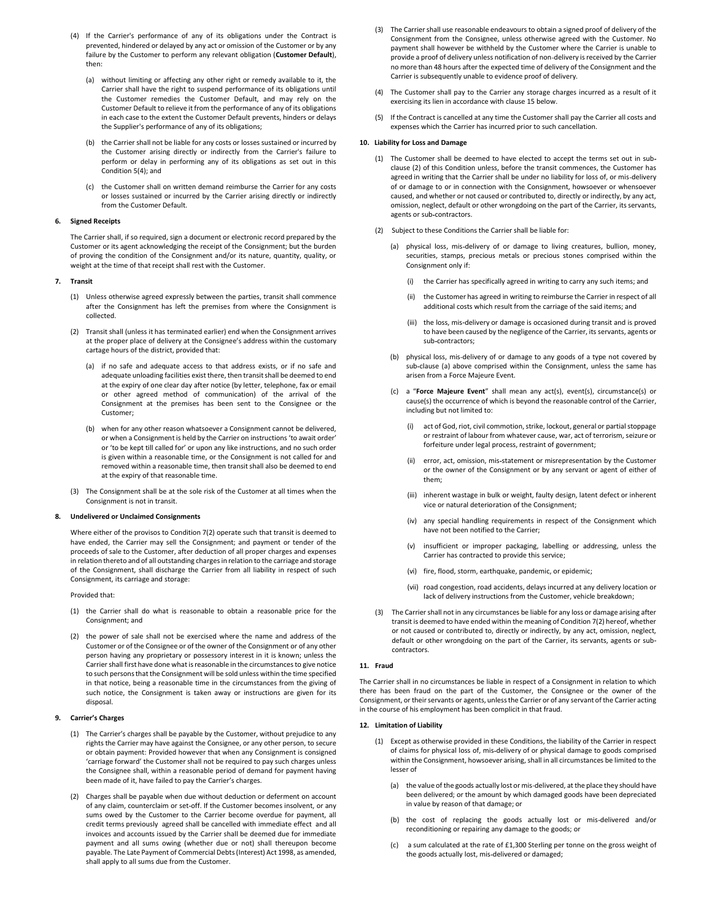- (4) If the Carrier's performance of any of its obligations under the Contract is prevented, hindered or delayed by any act or omission of the Customer or by any failure by the Customer to perform any relevant obligation (Customer Default), then:
	- (a) without limiting or affecting any other right or remedy available to it, the Carrier shall have the right to suspend performance of its obligations until the Customer remedies the Customer Default, and may rely on the Customer Default to relieve it from the performance of any of its obligations in each case to the extent the Customer Default prevents, hinders or delays the Supplier's performance of any of its obligations;
	- (b) the Carrier shall not be liable for any costs or losses sustained or incurred by the Customer arising directly or indirectly from the Carrier's failure to perform or delay in performing any of its obligations as set out in this Condition 5(4); and
	- (c) the Customer shall on written demand reimburse the Carrier for any costs or losses sustained or incurred by the Carrier arising directly or indirectly from the Customer Default.

# 6. Signed Receipts

The Carrier shall, if so required, sign a document or electronic record prepared by the Customer or its agent acknowledging the receipt of the Consignment; but the burden of proving the condition of the Consignment and/or its nature, quantity, quality, or weight at the time of that receipt shall rest with the Customer.

#### 7. Transit

- (1) Unless otherwise agreed expressly between the parties, transit shall commence after the Consignment has left the premises from where the Consignment is collected.
- (2) Transit shall (unless it has terminated earlier) end when the Consignment arrives at the proper place of delivery at the Consignee's address within the customary cartage hours of the district, provided that:
	- (a) if no safe and adequate access to that address exists, or if no safe and adequate unloading facilities exist there, then transit shall be deemed to end at the expiry of one clear day after notice (by letter, telephone, fax or email or other agreed method of communication) of the arrival of the Consignment at the premises has been sent to the Consignee or the Customer;
	- (b) when for any other reason whatsoever a Consignment cannot be delivered, or when a Consignment is held by the Carrier on instructions 'to await order' or 'to be kept till called for' or upon any like instructions, and no such order is given within a reasonable time, or the Consignment is not called for and removed within a reasonable time, then transit shall also be deemed to end at the expiry of that reasonable time.
- (3) The Consignment shall be at the sole risk of the Customer at all times when the Consignment is not in transit.

#### 8. Undelivered or Unclaimed Consignments

Where either of the provisos to Condition 7(2) operate such that transit is deemed to have ended, the Carrier may sell the Consignment; and payment or tender of the proceeds of sale to the Customer, after deduction of all proper charges and expenses in relation thereto and of all outstanding charges in relation to the carriage and storage of the Consignment, shall discharge the Carrier from all liability in respect of such Consignment, its carriage and storage:

Provided that:

- (1) the Carrier shall do what is reasonable to obtain a reasonable price for the Consignment; and
- (2) the power of sale shall not be exercised where the name and address of the Customer or of the Consignee or of the owner of the Consignment or of any other person having any proprietary or possessory interest in it is known; unless the Carrier shall first have done what is reasonable in the circumstances to give notice to such persons that the Consignment will be sold unless within the time specified in that notice, being a reasonable time in the circumstances from the giving of such notice, the Consignment is taken away or instructions are given for its disposal.

#### 9. Carrier's Charges

- (1) The Carrier's charges shall be payable by the Customer, without prejudice to any rights the Carrier may have against the Consignee, or any other person, to secure or obtain payment: Provided however that when any Consignment is consigned 'carriage forward' the Customer shall not be required to pay such charges unless the Consignee shall, within a reasonable period of demand for payment having been made of it, have failed to pay the Carrier's charges.
- (2) Charges shall be payable when due without deduction or deferment on account of any claim, counterclaim or set off. If the Customer becomes insolvent, or any sums owed by the Customer to the Carrier become overdue for payment, all credit terms previously agreed shall be cancelled with immediate effect and all invoices and accounts issued by the Carrier shall be deemed due for immediate payment and all sums owing (whether due or not) shall thereupon become payable. The Late Payment of Commercial Debts (Interest) Act 1998, as amended, shall apply to all sums due from the Customer.
- (3) The Carrier shall use reasonable endeavours to obtain a signed proof of delivery of the Consignment from the Consignee, unless otherwise agreed with the Customer. No payment shall however be withheld by the Customer where the Carrier is unable to provide a proof of delivery unless notification of non delivery is received by the Carrier no more than 48 hours after the expected time of delivery of the Consignment and the Carrier is subsequently unable to evidence proof of delivery.
- (4) The Customer shall pay to the Carrier any storage charges incurred as a result of it exercising its lien in accordance with clause 15 below.
- (5) If the Contract is cancelled at any time the Customer shall pay the Carrier all costs and expenses which the Carrier has incurred prior to such cancellation.

#### 10. Liability for Loss and Damage

- (1) The Customer shall be deemed to have elected to accept the terms set out in sub clause (2) of this Condition unless, before the transit commences, the Customer has agreed in writing that the Carrier shall be under no liability for loss of, or mis delivery of or damage to or in connection with the Consignment, howsoever or whensoever caused, and whether or not caused or contributed to, directly or indirectly, by any act, omission, neglect, default or other wrongdoing on the part of the Carrier, its servants, agents or sub contractors.
- (2) Subject to these Conditions the Carrier shall be liable for:
	- (a) physical loss, mis delivery of or damage to living creatures, bullion, money, securities, stamps, precious metals or precious stones comprised within the Consignment only if:
		- (i) the Carrier has specifically agreed in writing to carry any such items; and
		- (ii) the Customer has agreed in writing to reimburse the Carrier in respect of all additional costs which result from the carriage of the said items; and
		- (iii) the loss, mis delivery or damage is occasioned during transit and is proved to have been caused by the negligence of the Carrier, its servants, agents or sub contractors;
	- (b) physical loss, mis delivery of or damage to any goods of a type not covered by sub clause (a) above comprised within the Consignment, unless the same has arisen from a Force Majeure Event.
	- (c) a "Force Majeure Event" shall mean any act(s), event(s), circumstance(s) or cause(s) the occurrence of which is beyond the reasonable control of the Carrier, including but not limited to:
		- (i) act of God, riot, civil commotion, strike, lockout, general or partial stoppage or restraint of labour from whatever cause, war, act of terrorism, seizure or forfeiture under legal process, restraint of government;
		- (ii) error, act, omission, mis statement or misrepresentation by the Customer or the owner of the Consignment or by any servant or agent of either of them;
		- (iii) inherent wastage in bulk or weight, faulty design, latent defect or inherent vice or natural deterioration of the Consignment;
		- (iv) any special handling requirements in respect of the Consignment which have not been notified to the Carrier;
		- (v) insufficient or improper packaging, labelling or addressing, unless the Carrier has contracted to provide this service;
		- (vi) fire, flood, storm, earthquake, pandemic, or epidemic;
		- (vii) road congestion, road accidents, delays incurred at any delivery location or lack of delivery instructions from the Customer, vehicle breakdown;
- (3) The Carrier shall not in any circumstances be liable for any loss or damage arising after transit is deemed to have ended within the meaning of Condition 7(2) hereof, whether or not caused or contributed to, directly or indirectly, by any act, omission, neglect, default or other wrongdoing on the part of the Carrier, its servants, agents or sub contractors.

# 11. Fraud

The Carrier shall in no circumstances be liable in respect of a Consignment in relation to which there has been fraud on the part of the Customer, the Consignee or the owner of the Consignment, or their servants or agents, unless the Carrier or of any servant of the Carrier acting in the course of his employment has been complicit in that fraud.

#### 12. Limitation of Liability

- (1) Except as otherwise provided in these Conditions, the liability of the Carrier in respect of claims for physical loss of, mis delivery of or physical damage to goods comprised within the Consignment, howsoever arising, shall in all circumstances be limited to the lesser of
	- (a) the value of the goods actually lost or mis delivered, at the place they should have been delivered; or the amount by which damaged goods have been depreciated in value by reason of that damage; or
	- (b) the cost of replacing the goods actually lost or mis delivered and/or reconditioning or repairing any damage to the goods; or
	- (c) a sum calculated at the rate of £1,300 Sterling per tonne on the gross weight of the goods actually lost, mis-delivered or damaged;